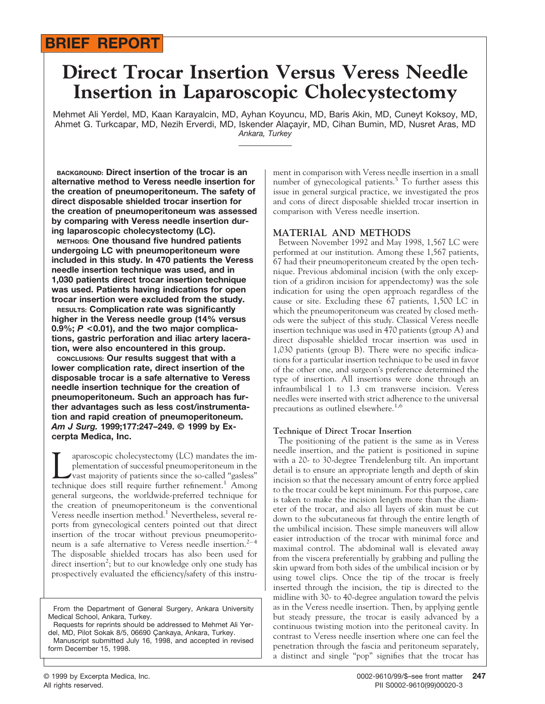## **BRIEF REPORT**

# **Direct Trocar Insertion Versus Veress Needle Insertion in Laparoscopic Cholecystectomy**

Mehmet Ali Yerdel, MD, Kaan Karayalcin, MD, Ayhan Koyuncu, MD, Baris Akin, MD, Cuneyt Koksoy, MD, Ahmet G. Turkcapar, MD, Nezih Erverdi, MD, Iskender Alacayir, MD, Cihan Bumin, MD, Nusret Aras, MD *Ankara, Turkey*

**BACKGROUND: Direct insertion of the trocar is an alternative method to Veress needle insertion for the creation of pneumoperitoneum. The safety of direct disposable shielded trocar insertion for the creation of pneumoperitoneum was assessed by comparing with Veress needle insertion during laparoscopic cholecystectomy (LC).**

**METHODS: One thousand five hundred patients undergoing LC with pneumoperitoneum were included in this study. In 470 patients the Veress needle insertion technique was used, and in 1,030 patients direct trocar insertion technique was used. Patients having indications for open trocar insertion were excluded from the study.**

**RESULTS: Complication rate was significantly higher in the Veress needle group (14% versus 0.9%;** *P* **<0.01), and the two major complications, gastric perforation and iliac artery laceration, were also encountered in this group.**

**CONCLUSIONS: Our results suggest that with a lower complication rate, direct insertion of the disposable trocar is a safe alternative to Veress needle insertion technique for the creation of pneumoperitoneum. Such an approach has further advantages such as less cost/instrumentation and rapid creation of pneumoperitoneum.** *Am J Surg.* **1999;177:247–249. © 1999 by Excerpta Medica, Inc.**

aparoscopic cholecystectomy (LC) mandates the implementation of successful pneumoperitoneum in the vast majority of patients since the so-called "gasless" technique does still require further refinement.<sup>1</sup> Among general surgeons, the worldwide-preferred technique for the creation of pneumoperitoneum is the conventional Veress needle insertion method.<sup>1</sup> Nevertheless, several reports from gynecological centers pointed out that direct insertion of the trocar without previous pneumoperitoneum is a safe alternative to Veress needle insertion.<sup>2-4</sup> The disposable shielded trocars has also been used for direct insertion<sup>2</sup>; but to our knowledge only one study has prospectively evaluated the efficiency/safety of this instru-

Manuscript submitted July 16, 1998, and accepted in revised form December 15, 1998.

ment in comparison with Veress needle insertion in a small number of gynecological patients.<sup>5</sup> To further assess this issue in general surgical practice, we investigated the pros and cons of direct disposable shielded trocar insertion in comparison with Veress needle insertion.

### **MATERIAL AND METHODS**

Between November 1992 and May 1998, 1,567 LC were performed at our institution. Among these 1,567 patients, 67 had their pneumoperitoneum created by the open technique. Previous abdominal incision (with the only exception of a gridiron incision for appendectomy) was the sole indication for using the open approach regardless of the cause or site. Excluding these 67 patients, 1,500 LC in which the pneumoperitoneum was created by closed methods were the subject of this study. Classical Veress needle insertion technique was used in 470 patients (group A) and direct disposable shielded trocar insertion was used in 1,030 patients (group B). There were no specific indications for a particular insertion technique to be used in favor of the other one, and surgeon's preference determined the type of insertion. All insertions were done through an infraumbilical 1 to 1.3 cm transverse incision. Veress needles were inserted with strict adherence to the universal precautions as outlined elsewhere.<sup>1,6</sup>

#### **Technique of Direct Trocar Insertion**

The positioning of the patient is the same as in Veress needle insertion, and the patient is positioned in supine with a 20- to 30-degree Trendelenburg tilt. An important detail is to ensure an appropriate length and depth of skin incision so that the necessary amount of entry force applied to the trocar could be kept minimum. For this purpose, care is taken to make the incision length more than the diameter of the trocar, and also all layers of skin must be cut down to the subcutaneous fat through the entire length of the umbilical incision. These simple maneuvers will allow easier introduction of the trocar with minimal force and maximal control. The abdominal wall is elevated away from the viscera preferentially by grabbing and pulling the skin upward from both sides of the umbilical incision or by using towel clips. Once the tip of the trocar is freely inserted through the incision, the tip is directed to the midline with 30- to 40-degree angulation toward the pelvis as in the Veress needle insertion. Then, by applying gentle but steady pressure, the trocar is easily advanced by a continuous twisting motion into the peritoneal cavity. In contrast to Veress needle insertion where one can feel the penetration through the fascia and peritoneum separately, a distinct and single "pop" signifies that the trocar has

From the Department of General Surgery, Ankara University Medical School, Ankara, Turkey.

Requests for reprints should be addressed to Mehmet Ali Yerdel, MD, Pilot Sokak 8/5, 06690 Çankaya, Ankara, Turkey.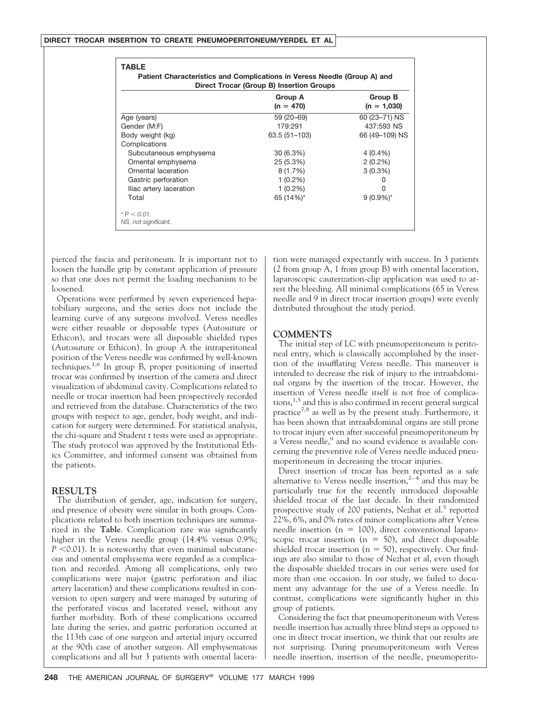|                         | <b>Group A</b><br>$(n = 470)$ | Group B<br>$(n = 1,030)$ |
|-------------------------|-------------------------------|--------------------------|
|                         |                               |                          |
| Age (years)             | 59 (20-69)                    | 60 (23-71) NS            |
| Gender (M:F)            | 179:291                       | 437:593 NS               |
| Body weight (kg)        | 63.5 (51-103)                 | 66 (49–109) NS           |
| Complications           |                               |                          |
| Subcutaneous emphysema  | $30(6.3\%)$                   | $4(0.4\%)$               |
| Omental emphysema       | 25 (5.3%)                     | $2(0.2\%)$               |
| Omental laceration      | 8(1.7%)                       | $3(0.3\%)$               |
| Gastric perforation     | $1(0.2\%)$                    |                          |
| Iliac artery laceration | $1(0.2\%)$                    | O                        |
| Total                   | 65 (14%)*                     | $9(0.9\%)^*$             |

pierced the fascia and peritoneum. It is important not to loosen the handle grip by constant application of pressure so that one does not permit the loading mechanism to be loosened.

Operations were performed by seven experienced hepatobiliary surgeons, and the series does not include the learning curve of any surgeons involved. Veress needles were either reusable or disposable types (Autosuture or Ethicon), and trocars were all disposable shielded types (Autosuture or Ethicon). In group A the intraperitoneal position of the Veress needle was confirmed by well-known techniques.1,6 In group B, proper positioning of inserted trocar was confirmed by insertion of the camera and direct visualization of abdominal cavity. Complications related to needle or trocar insertion had been prospectively recorded and retrieved from the database. Characteristics of the two groups with respect to age, gender, body weight, and indication for surgery were determined. For statistical analysis, the chi-square and Student *t* tests were used as appropriate. The study protocol was approved by the Institutional Ethics Committee, and informed consent was obtained from the patients.

#### **RESULTS**

The distribution of gender, age, indication for surgery, and presence of obesity were similar in both groups. Complications related to both insertion techniques are summarized in the **Table**. Complication rate was significantly higher in the Veress needle group (14.4% versus 0.9%;  $P$  <0.01). It is noteworthy that even minimal subcutaneous and omental emphysema were regarded as a complication and recorded. Among all complications, only two complications were major (gastric perforation and iliac artery laceration) and these complications resulted in conversion to open surgery and were managed by suturing of the perforated viscus and lacerated vessel, without any further morbidity. Both of these complications occurred late during the series, and gastric perforation occurred at the 113th case of one surgeon and arterial injury occurred at the 90th case of another surgeon. All emphysematous complications and all but 3 patients with omental laceration were managed expectantly with success. In 3 patients (2 from group A, 1 from group B) with omental laceration, laparoscopic cauterization-clip application was used to arrest the bleeding. All minimal complications (65 in Veress needle and 9 in direct trocar insertion groups) were evenly distributed throughout the study period.

#### **COMMENTS**

The initial step of LC with pneumoperitoneum is peritoneal entry, which is classically accomplished by the insertion of the insufflating Veress needle. This maneuver is intended to decrease the risk of injury to the intraabdominal organs by the insertion of the trocar. However, the insertion of Veress needle itself is not free of complica $tions$ ,<sup>1,5</sup> and this is also confirmed in recent general surgical practice<sup>7,8</sup> as well as by the present study. Furthermore, it has been shown that intraabdominal organs are still prone to trocar injury even after successful pneumoperitoneum by a Veress needle,<sup>9</sup> and no sound evidence is available concerning the preventive role of Veress needle induced pneumoperitoneum in decreasing the trocar injuries.

Direct insertion of trocar has been reported as a safe alternative to Veress needle insertion,<sup>2-4</sup> and this may be particularly true for the recently introduced disposable shielded trocar of the last decade. In their randomized prospective study of 200 patients, Nezhat et al.<sup>5</sup> reported 22%, 6%, and 0% rates of minor complications after Veress needle insertion ( $n = 100$ ), direct conventional laparoscopic trocar insertion ( $n = 50$ ), and direct disposable shielded trocar insertion ( $n = 50$ ), respectively. Our findings are also similar to those of Nezhat et al, even though the disposable shielded trocars in our series were used for more than one occasion. In our study, we failed to document any advantage for the use of a Veress needle. In contrast, complications were significantly higher in this group of patients.

Considering the fact that pneumoperitoneum with Veress needle insertion has actually three blind steps as opposed to one in direct trocar insertion, we think that our results are not surprising. During pneumoperitoneum with Veress needle insertion, insertion of the needle, pneumoperito